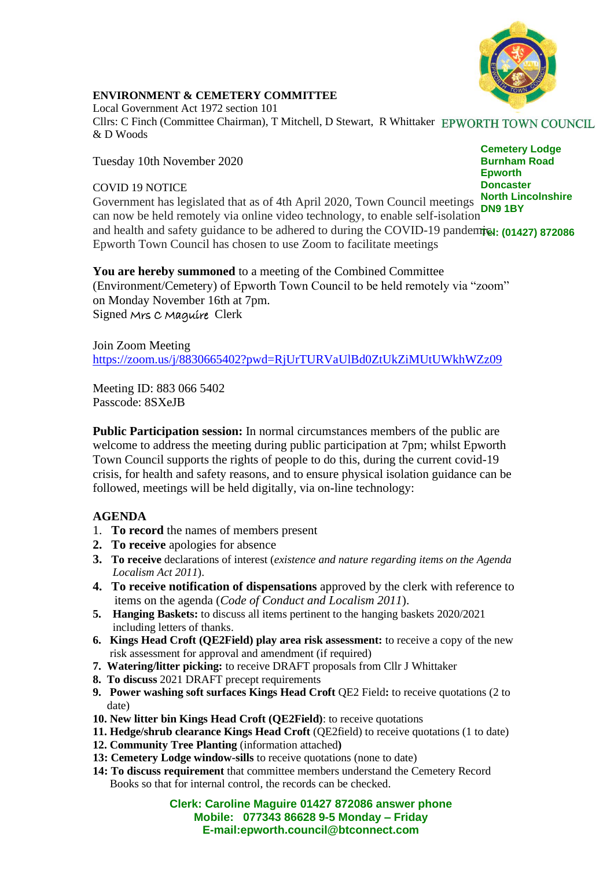

## **ENVIRONMENT & CEMETERY COMMITTEE**

Local Government Act 1972 section 101 Cllrs: C Finch (Committee Chairman), T Mitchell, D Stewart, R Whittaker & D Woods

Tuesday 10th November 2020

## COVID 19 NOTICE

**Cemetery Lodge Burnham Road Epworth Doncaster North Lincolnshire**

Government has legislated that as of 4th April 2020, Town Council meetings **North Life** and health and safety guidance to be adhered to during the COVID-19 pandemic. (01427) 872086 can now be held remotely via online video technology, to enable self-isolation Epworth Town Council has chosen to use Zoom to facilitate meetings

**You are hereby summoned** to a meeting of the Combined Committee (Environment/Cemetery) of Epworth Town Council to be held remotely via "zoom" on Monday November 16th at 7pm. Signed Mrs C Maguire Clerk

Join Zoom Meeting <https://zoom.us/j/8830665402?pwd=RjUrTURVaUlBd0ZtUkZiMUtUWkhWZz09>

Meeting ID: 883 066 5402 Passcode: 8SXeJB

**Public Participation session:** In normal circumstances members of the public are welcome to address the meeting during public participation at 7pm; whilst Epworth Town Council supports the rights of people to do this, during the current covid-19 crisis, for health and safety reasons, and to ensure physical isolation guidance can be followed, meetings will be held digitally, via on-line technology:

## **AGENDA**

- 1. **To record** the names of members present
- **2. To receive** apologies for absence
- **3. To receive** declarations of interest (*existence and nature regarding items on the Agenda Localism Act 2011*).
- **4. To receive notification of dispensations** approved by the clerk with reference to items on the agenda (*Code of Conduct and Localism 2011*).
- **5. Hanging Baskets:** to discuss all items pertinent to the hanging baskets 2020/2021 including letters of thanks.
- **6. Kings Head Croft (QE2Field) play area risk assessment:** to receive a copy of the new risk assessment for approval and amendment (if required)
- **7. Watering/litter picking:** to receive DRAFT proposals from Cllr J Whittaker
- **8. To discuss** 2021 DRAFT precept requirements
- **9. Power washing soft surfaces Kings Head Croft QE2 Field: to receive quotations (2 to** date)
- **10. New litter bin Kings Head Croft (QE2Field)**: to receive quotations
- **11. Hedge/shrub clearance Kings Head Croft** (QE2field) to receive quotations (1 to date)
- **12. Community Tree Planting** (information attached**)**
- **13: Cemetery Lodge window-sills** to receive quotations (none to date)
- **14: To discuss requirement** that committee members understand the Cemetery Record Books so that for internal control, the records can be checked.

**Clerk: Caroline Maguire 01427 872086 answer phone Mobile: 077343 86628 9-5 Monday – Friday E-mail:epworth.council@btconnect.com**